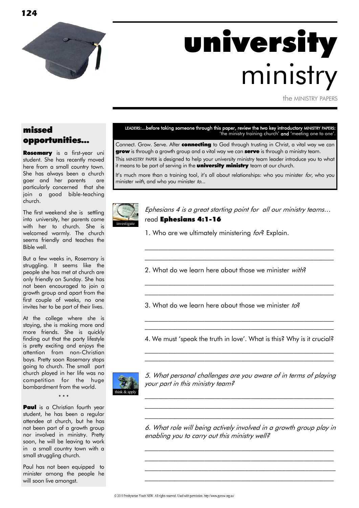

**124**

# university ministry

the MINISTRY PAPERS

# missed opportunities...

Rosemary is a first-year uni student. She has recently moved here from a small country town. She has always been a church goer and her parents are particularly concerned that she join a good bible-teaching church.

The first weekend she is settling into university, her parents come with her to church. She is welcomed warmly. The church seems friendly and teaches the Bible well.

But a few weeks in, Rosemary is struggling. It seems like the people she has met at church are only friendly on Sunday. She has not been encouraged to join a growth group and apart from the first couple of weeks, no one invites her to be part of their lives.

At the college where she is staying, she is making more and more friends. She is quickly finding out that the party lifestyle is pretty exciting and enjoys the attention from non-Christian boys. Pretty soon Rosemary stops going to church. The small part church played in her life was no competition for the huge bombardment from the world.



**Paul** is a Christian fourth year student, he has been a regular attendee at church, but he has not been part of a growth group nor involved in ministry. Pretty soon, he will be leaving to work in a small country town with a small struggling church.

 $\sim$   $\sim$   $\sim$ 

Paul has not been equipped to minister among the people he will soon live amongst.

LEADERS:...before taking someone through this paper, review the two key introductory MINISTRY PAPERS: 'the ministry training church' and 'meeting one to one'.

Connect. Grow. Serve. After **connecting** to God through trusting in Christ, a vital way we can grow is through a growth group and a vital way we can serve is through a ministry team. This MINISTRY PAPER is designed to help your university ministry team leader introduce you to what it means to be part of serving in the **university ministry** team at our church.

It's much more than a training tool, it's all about relationships: who you minister  $for$ , who you minister with, and who you minister to...



Ephesians 4 is a great starting point for all our ministry teams… read Ephesians 4:1-16

\_\_\_\_\_\_\_\_\_\_\_\_\_\_\_\_\_\_\_\_\_\_\_\_\_\_\_\_\_\_\_\_\_\_\_\_\_\_\_\_\_\_\_\_\_\_\_\_\_\_\_\_\_\_\_\_\_  $\mathcal{L}_\text{max}$  and the contract of the contract of the contract of the contract of the contract of the contract of

 $\mathcal{L}_\text{max}$  and the contract of the contract of the contract of the contract of the contract of the contract of  $\mathcal{L}_\text{max}$  and the contract of the contract of the contract of the contract of the contract of the contract of

1. Who are we ultimately ministering for? Explain.

2. What do we learn here about those we minister with?

3. What do we learn here about those we minister  $to^2$ 

4. We must 'speak the truth in love'. What is this? Why is it crucial? \_\_\_\_\_\_\_\_\_\_\_\_\_\_\_\_\_\_\_\_\_\_\_\_\_\_\_\_\_\_\_\_\_\_\_\_\_\_\_\_\_\_\_\_\_\_\_\_\_\_\_\_\_\_\_\_\_

 $\mathcal{L}_\text{max}$  and the contract of the contract of the contract of the contract of the contract of the contract of

\_\_\_\_\_\_\_\_\_\_\_\_\_\_\_\_\_\_\_\_\_\_\_\_\_\_\_\_\_\_\_\_\_\_\_\_\_\_\_\_\_\_\_\_\_\_\_\_\_\_\_\_\_\_\_\_\_  $\mathcal{L}_\text{max}$  and the contract of the contract of the contract of the contract of the contract of the contract of



5. What personal challenges are you aware of in terms of playing your part in this ministry team?

\_\_\_\_\_\_\_\_\_\_\_\_\_\_\_\_\_\_\_\_\_\_\_\_\_\_\_\_\_\_\_\_\_\_\_\_\_\_\_\_\_\_\_\_\_\_\_\_\_\_\_\_\_\_\_\_\_

\_\_\_\_\_\_\_\_\_\_\_\_\_\_\_\_\_\_\_\_\_\_\_\_\_\_\_\_\_\_\_\_\_\_\_\_\_\_\_\_\_\_\_\_\_\_\_\_\_\_\_\_\_\_\_\_\_

6. What role will being actively involved in a growth group play in enabling you to carry out this ministry well?

\_\_\_\_\_\_\_\_\_\_\_\_\_\_\_\_\_\_\_\_\_\_\_\_\_\_\_\_\_\_\_\_\_\_\_\_\_\_\_\_\_\_\_\_\_\_\_\_\_\_\_\_\_\_\_\_\_ \_\_\_\_\_\_\_\_\_\_\_\_\_\_\_\_\_\_\_\_\_\_\_\_\_\_\_\_\_\_\_\_\_\_\_\_\_\_\_\_\_\_\_\_\_\_\_\_\_\_\_\_\_\_\_\_\_  $\mathcal{L}_\text{max}$  and the contract of the contract of the contract of the contract of the contract of the contract of \_\_\_\_\_\_\_\_\_\_\_\_\_\_\_\_\_\_\_\_\_\_\_\_\_\_\_\_\_\_\_\_\_\_\_\_\_\_\_\_\_\_\_\_\_\_\_\_\_\_\_\_\_\_\_\_\_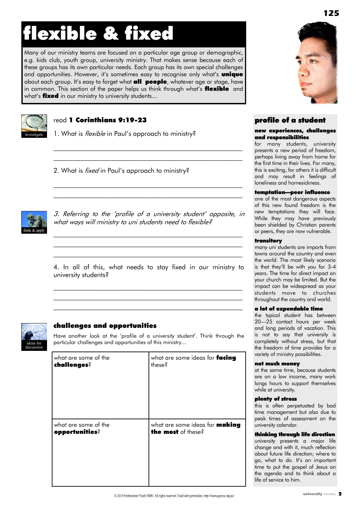# flexible & fixed

Many of our ministry teams are focused on a particular age group or demographic, e.g. kids club, youth group, university ministry. That makes sense because each of these groups has its own particular needs. Each group has its own special challenges and opportunities. However, it's sometimes easy to recognise only what's **unique** about each group. It's easy to forget what **all people**, whatever age or stage, have in common. This section of the paper helps us think through what's flexible and what's **fixed** in our ministry to university students...



### read 1 Corinthians 9:19-23

1. What is *flexible* in Paul's approach to ministry?

2. What is *fixed* in Paul's approach to ministry?



3. Referring to the 'profile of a university student' opposite, in what ways will ministry to uni students need to flexible?

\_\_\_\_\_\_\_\_\_\_\_\_\_\_\_\_\_\_\_\_\_\_\_\_\_\_\_\_\_\_\_\_\_\_\_\_\_\_\_\_\_\_\_\_\_\_\_\_\_\_\_\_\_\_\_\_\_

 $\mathcal{L}_\text{max}$  and the contract of the contract of the contract of the contract of the contract of the contract of  $\mathcal{L}_\text{max}$  and the contract of the contract of the contract of the contract of the contract of the contract of

 $\mathcal{L}_\text{max}$  and the contract of the contract of the contract of the contract of the contract of the contract of  $\mathcal{L}_\text{max}$  and the contract of the contract of the contract of the contract of the contract of the contract of

4. In all of this, what needs to stay fixed in our ministry to university students?

 $\mathcal{L}_\text{max}$  and the contract of the contract of the contract of the contract of the contract of the contract of \_\_\_\_\_\_\_\_\_\_\_\_\_\_\_\_\_\_\_\_\_\_\_\_\_\_\_\_\_\_\_\_\_\_\_\_\_\_\_\_\_\_\_\_\_\_\_\_\_\_\_\_\_\_\_\_\_ \_\_\_\_\_\_\_\_\_\_\_\_\_\_\_\_\_\_\_\_\_\_\_\_\_\_\_\_\_\_\_\_\_\_\_\_\_\_\_\_\_\_\_\_\_\_\_\_\_\_\_\_\_\_\_\_\_

\_\_\_\_\_\_\_\_\_\_\_\_\_\_\_\_\_\_\_\_\_\_\_\_\_\_\_\_\_\_\_\_\_\_\_\_\_\_\_\_\_\_\_\_\_\_\_\_\_\_\_\_\_\_\_\_\_



### challenges and opportunities

Have another look at the 'profile of a university student'. Think through the particular challenges and opportunities of this ministry...

| what are some of the | what are some ideas for facing        |
|----------------------|---------------------------------------|
| challenges?          | these?                                |
| what are some of the | what are some ideas for <b>making</b> |
| opportunities?       | the most of these?                    |



# profile of a student

### new experiences, challenges and responsibilities

for many students, university presents a new period of freedom, perhaps living away from home for the first time in their lives. For many, this is exciting, for others it is difficult and may result in feelings of loneliness and homesickness.

### temptation—peer influence

one of the most dangerous aspects of this new found freedom is the new temptations they will face. While they may have previously been shielded by Christian parents or peers, they are now vulnerable.

### transitory

many uni students are imports from towns around the country and even the world. The most likely scenario is that they'll be with you for 3-4 years. The time for direct impact on your church may be limited. But the impact can be widespread as your students move to churches throughout the country and world.

### a lot of expendable time

the typical student has between 20—25 contact hours per week and long periods of vacation. This is not to say that university is completely without stress, but that the freedom of time provides for a variety of ministry possibilities.

#### not much money

at the same time, because students are on a low income, many work longs hours to support themselves while at university.

#### plenty of stress

this is often perpetuated by bad time management but also due to peak times of assessment on the university calendar.

#### thinking through life direction

university presents a major life change and with it, much reflection about future life direction; where to go, what to do. It's an important time to put the gospel of Jesus on the agenda and to think about a life of service to him.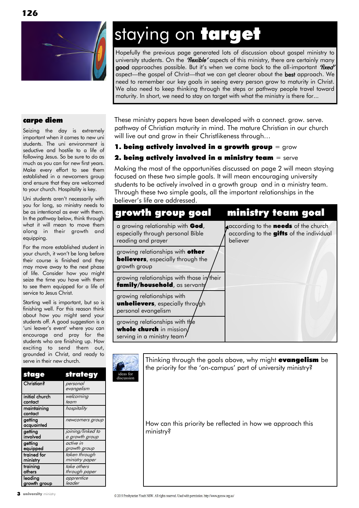

# staying on target

Hopefully the previous page generated lots of discussion about gospel ministry to university students. On the 'flexible' aspects of this ministry, there are certainly many good approaches possible. But it's when we come back to the all-important 'fixed' aspect—the gospel of Christ—that we can get clearer about the **best** approach. We need to remember our key goals in seeing every person grow to maturity in Christ. We also need to keep thinking through the steps or pathway people travel toward maturity. In short, we need to stay on target with what the ministry is there for...

### carpe diem

Seizing the day is extremely important when it comes to new uni students. The uni environment is seductive and hostile to a life of following Jesus. So be sure to do as much as you can for new first years. Make every effort to see them established in a newcomers group and ensure that they are welcomed to your church. Hospitality is key.

Uni students aren't necessarily with you for long, so ministry needs to be as intentional as ever with them. In the pathway below, think through what it will mean to move them along in their growth and equipping.

For the more established student in your church, it won't be long before their course is finished and they may move away to the next phase of life. Consider how you might seize the time you have with them to see them equipped for a life of service to Jesus Christ.

Starting well is important, but so is finishing well. For this reason think about how you might send your students off. A good suggestion is a 'uni leaver's event' where you can encourage and pray for the students who are finishing up. How exciting to send them out, grounded in Christ, and ready to serve in their new church.

| stage                  | strategy               |
|------------------------|------------------------|
| <b>Christian?</b>      | personal<br>evangelism |
| initial church         | welcoming              |
| contact                | team                   |
| maintaining<br>contact | hospitality            |
| getting<br>acquainted  | newcomers group        |
| getting                | joining/linked to      |
| involved               | a growth group         |
| getting                | active in              |
| equipped               | growth group           |
| trained for            | taken through          |
| ministry               | ministry paper         |
| training               | take others            |
| others                 | through paper          |
| leading                | apprentice             |
| growth group           | leader                 |

These ministry papers have been developed with a connect. grow. serve. pathway of Christian maturity in mind. The mature Christian in our church will live out and arow in their Christlikeness through...

# 1. being actively involved in a growth group  $=$  grow

# **2. being actively involved in a ministry team**  $=$  serve

Making the most of the opportunities discussed on page 2 will mean staying focused on these two simple goals. It will mean encouraging university students to be actively involved in a growth group and in a ministry team. Through these two simple goals, all the important relationships in the believer's life are addressed.

# growth group goal ministry team goal

| a growing relationship with God,<br>especially through personal Bible<br>reading and prayer   | according to the <b>needs</b> of the church<br>according to the gifts of the individual<br>believer |
|-----------------------------------------------------------------------------------------------|-----------------------------------------------------------------------------------------------------|
| growing relationships with other<br><b>believers</b> , especially through the<br>growth group |                                                                                                     |
| growing relationships with those in their<br>family/household, as servants                    |                                                                                                     |
| growing relationships with<br><b>unbelievers</b> , especially through<br>personal evangelism  |                                                                                                     |
| growing relationships with the<br>whole church in mission/<br>serving in a ministry team      |                                                                                                     |

Thinking through the goals above, why might **evangelism** be the priority for the 'on-campus' part of university ministry? ideas for discussion

> How can this priority be reflected in how we approach this ministry?